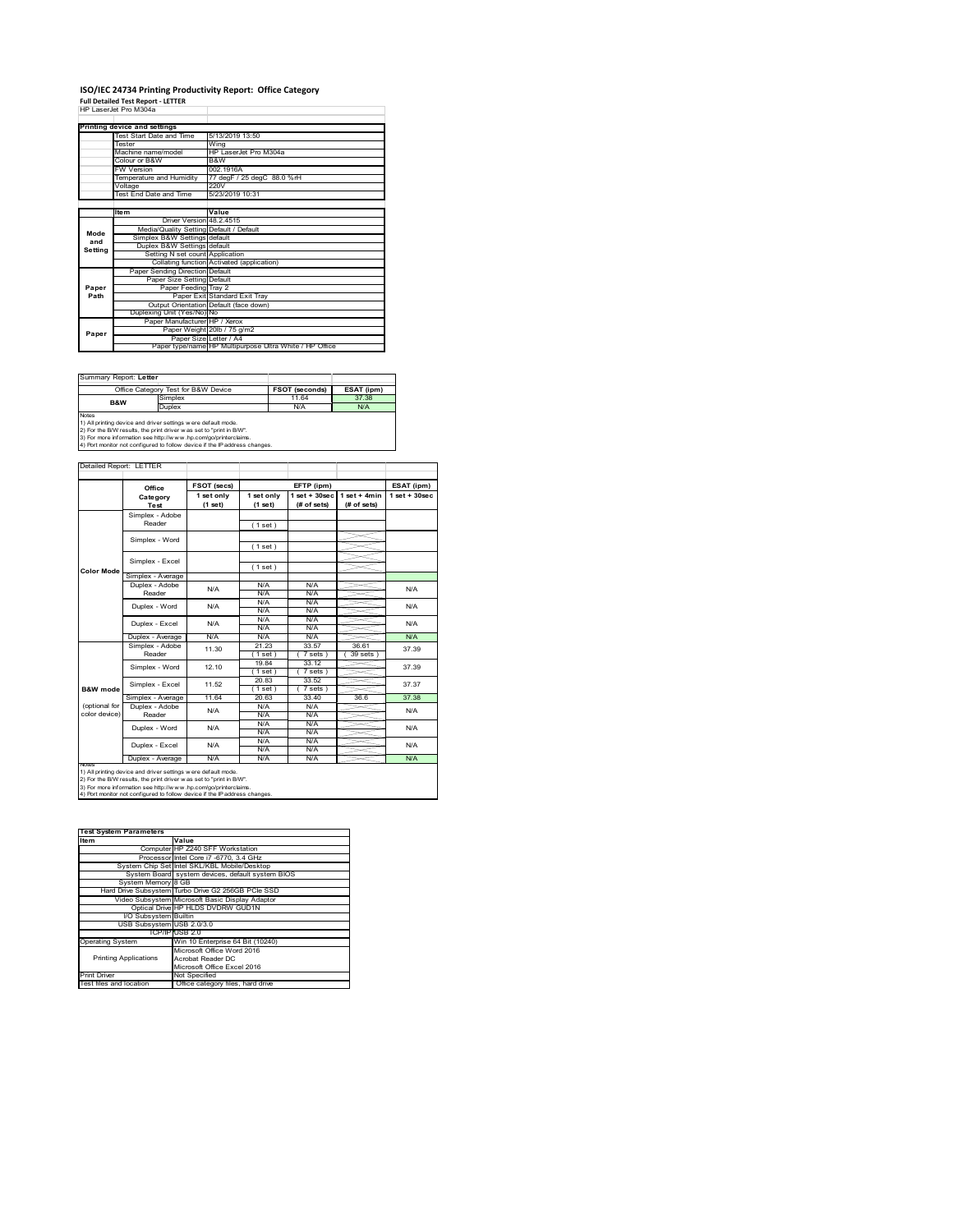# **ISO/IEC 24734 Printing Productivity Report: Office Category Full Detailed Test Report ‐ LETTER** HP LaserJet Pro M304a

|         | <b>FIF LASCIJCI FIU MJUTA</b>           |                                                         |
|---------|-----------------------------------------|---------------------------------------------------------|
|         | Printing device and settings            |                                                         |
|         | Test Start Date and Time                | 5/13/2019 13:50                                         |
|         | <b>Tester</b>                           |                                                         |
|         |                                         | Wina                                                    |
|         | Machine name/model                      | HP LaserJet Pro M304a                                   |
|         | Colour or B&W                           | B&W                                                     |
|         | <b>FW Version</b>                       | 002.1916A                                               |
|         | Temperature and Humidity                | 77 degF / 25 degC 88.0 %rH                              |
|         | Voltage                                 | 220V                                                    |
|         | Test End Date and Time                  | 5/23/2019 10:31                                         |
|         |                                         |                                                         |
|         | <b>Item</b>                             | Value                                                   |
|         | Driver Version 48.2.4515                |                                                         |
| Mode    | Media/Quality Setting Default / Default |                                                         |
| and     | Simplex B&W Settings default            |                                                         |
| Setting | Duplex B&W Settings default             |                                                         |
|         | Setting N set count Application         |                                                         |
|         |                                         | Collating function Activated (application)              |
|         | Paper Sending Direction Default         |                                                         |
|         | Paper Size Setting Default              |                                                         |
| Paper   | Paper Feeding Tray 2                    |                                                         |
| Path    |                                         | Paper Exit Standard Exit Tray                           |
|         |                                         | Output Orientation Default (face down)                  |
|         | Duplexing Unit (Yes/No) No              |                                                         |
|         | Paper Manufacturer HP / Xerox           |                                                         |
| Paper   |                                         | Paper Weight 20lb / 75 g/m2                             |
|         |                                         | Paper Size Letter / A4                                  |
|         |                                         | Paper type/name HP Multipurpose Ultra White / HP Office |

| Summary Report: Letter                                                     |                                     |                       |            |  |  |
|----------------------------------------------------------------------------|-------------------------------------|-----------------------|------------|--|--|
|                                                                            | Office Category Test for B&W Device | <b>FSOT (seconds)</b> | ESAT (ipm) |  |  |
| Simplex<br><b>B&amp;W</b><br>Duplex                                        |                                     | 11.64                 | 37.38      |  |  |
|                                                                            |                                     | N/A                   | N/A        |  |  |
| <b>Notes</b>                                                               |                                     |                       |            |  |  |
| 1) All printing device and driver settings were default mode.              |                                     |                       |            |  |  |
| 2) For the B/W results, the print driver was set to "print in B/W".        |                                     |                       |            |  |  |
| 3) For more information see http://www.hp.com/go/printerclaims.            |                                     |                       |            |  |  |
| 4) Port monitor not configured to follow device if the IP address changes. |                                     |                       |            |  |  |

|                   | Office            | <b>FSOT (secs)</b>    |                       | EFTP (ipm)                        |                               | ESAT (ipm)         |
|-------------------|-------------------|-----------------------|-----------------------|-----------------------------------|-------------------------------|--------------------|
|                   | Category<br>Test  | 1 set only<br>(1 set) | 1 set only<br>(1 set) | $1$ set + $30$ sec<br>(# of sets) | $1$ set + 4min<br>(# of sets) | $1$ set + $30$ sec |
|                   | Simplex - Adobe   |                       |                       |                                   |                               |                    |
|                   | Reader            |                       | (1 set)               |                                   |                               |                    |
|                   |                   |                       |                       |                                   |                               |                    |
|                   | Simplex - Word    |                       | (1 set)               |                                   |                               |                    |
|                   | Simplex - Excel   |                       |                       |                                   |                               |                    |
|                   |                   |                       | (1 set)               |                                   |                               |                    |
| <b>Color Mode</b> | Simplex - Average |                       |                       |                                   |                               |                    |
|                   | Duplex - Adobe    | N/A                   | N/A                   | N/A                               |                               | N/A                |
|                   | Reader            |                       | N/A                   | N/A                               |                               |                    |
|                   | Duplex - Word     | N/A                   | N/A                   | N/A                               |                               | N/A                |
|                   |                   |                       | N/A                   | N/A                               |                               |                    |
|                   | Duplex - Excel    | N/A                   | N/A                   | N/A                               |                               | N/A                |
|                   |                   |                       | N/A                   | N/A                               |                               |                    |
|                   | Duplex - Average  | N/A                   | N/A                   | N/A                               |                               | <b>N/A</b>         |
|                   | Simplex - Adobe   | 11.30                 | 21.23                 | 33.57                             | 36.61                         | 37.39              |
|                   | Reader            |                       | 1 set                 | 7 sets 1                          | 39 sets                       |                    |
|                   | Simplex - Word    | 12.10                 | 1984                  | 33 12                             |                               | 37.39              |
|                   |                   |                       | $1$ set               | 7 sets)                           |                               |                    |
|                   | Simplex - Excel   | 11.52                 | 20.83                 | 33.52                             |                               | 37.37              |
| B&W mode          |                   |                       | $1$ set)              | $7 sets$ )                        |                               |                    |
|                   | Simplex - Average | 11.64                 | 20.63                 | 33.40                             | 36.6                          | 37.38              |
| (optional for     | Duplex - Adobe    | N/A                   | N/A                   | N/A                               |                               | N/A                |
| color device)     | Reader            |                       | N/A                   | N/A                               |                               |                    |
|                   | Duplex - Word     | N/A                   | N/A                   | N/A                               |                               | N/A                |
|                   |                   |                       | N/A                   | N/A                               |                               |                    |
|                   | Duplex - Excel    | N/A                   | N/A                   | N/A                               |                               | N/A                |
|                   |                   |                       | N/A                   | N/A                               |                               |                    |
| NOTAS             | Duplex - Average  | N/A                   | N/A                   | N/A                               |                               | N/A                |

2) For the B/W results, the print driver w as set to "print in B/W".<br>3) For more information see http://w w w .hp.com/go/printerclaims.<br>4) Port monitor not configured to follow device if the IP address changes.

| <b>Test System Parameters</b> |                                                    |  |  |  |  |
|-------------------------------|----------------------------------------------------|--|--|--|--|
| Item                          | Value                                              |  |  |  |  |
|                               | Computer HP Z240 SFF Workstation                   |  |  |  |  |
|                               | Processor Intel Core i7 -6770, 3.4 GHz             |  |  |  |  |
|                               | System Chip Set Intel SKL/KBL Mobile/Desktop       |  |  |  |  |
|                               | System Board system devices, default system BIOS   |  |  |  |  |
| System Memory 8 GB            |                                                    |  |  |  |  |
|                               | Hard Drive Subsystem Turbo Drive G2 256GB PCle SSD |  |  |  |  |
|                               | Video Subsystem Microsoft Basic Display Adaptor    |  |  |  |  |
|                               | Optical Drive HP HLDS DVDRW GUD1N                  |  |  |  |  |
| I/O Subsystem Builtin         |                                                    |  |  |  |  |
| USB Subsystem USB 2.0/3.0     |                                                    |  |  |  |  |
|                               | TCP/IPIUSB 2.0                                     |  |  |  |  |
| <b>Operating System</b>       | Win 10 Enterprise 64 Bit (10240)                   |  |  |  |  |
|                               | Microsoft Office Word 2016                         |  |  |  |  |
| <b>Printing Applications</b>  | Acrobat Reader DC                                  |  |  |  |  |
|                               | Microsoft Office Excel 2016                        |  |  |  |  |
| <b>Print Driver</b>           | Not Specified                                      |  |  |  |  |
| Test files and location       | Office category files, hard drive                  |  |  |  |  |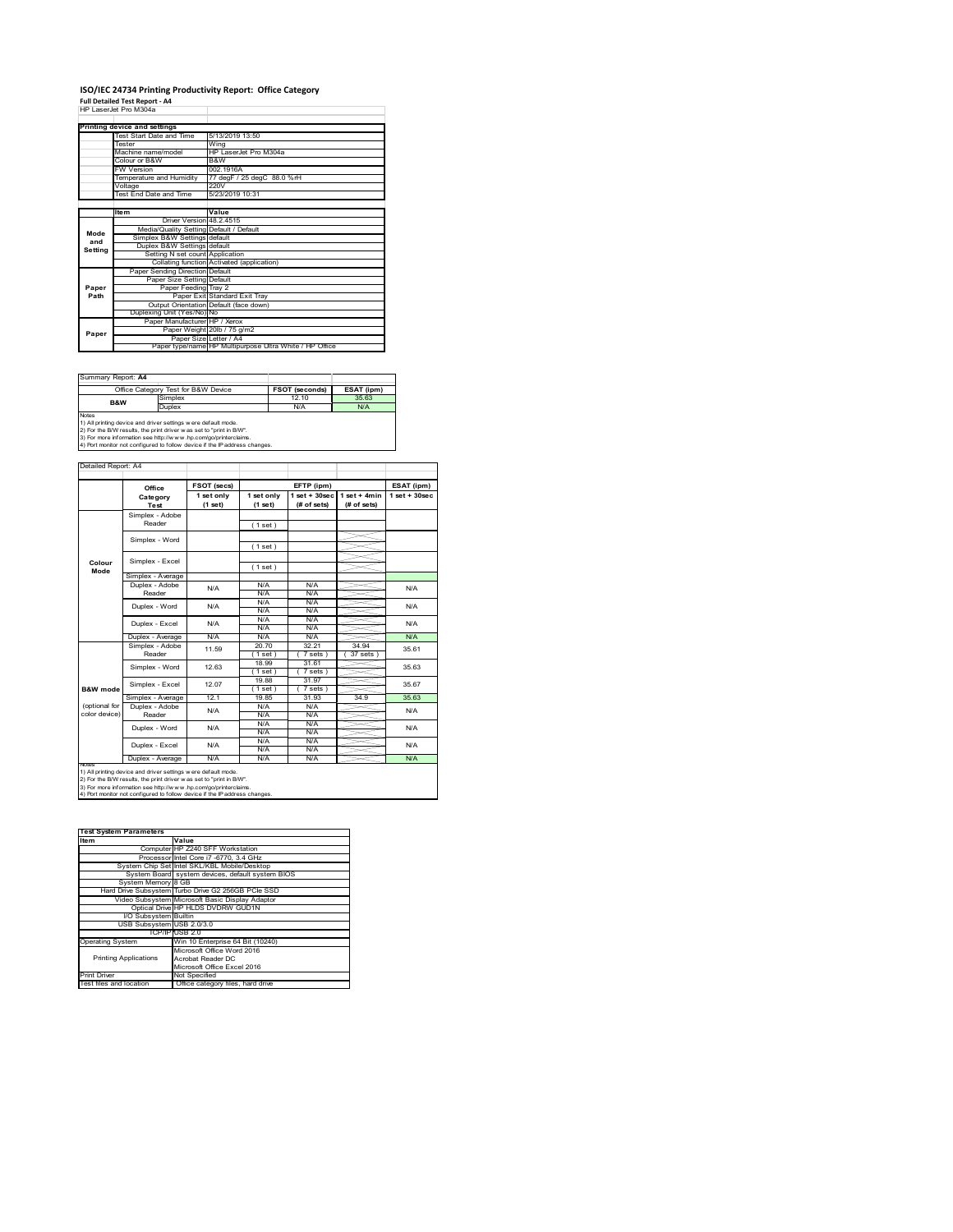#### **ISO/IEC 24734 Printing Productivity Report: Office Category Full Detailed Test Report ‐ A4** HP LaserJet Pro M304a

|                              | 62 BSRG RO MARI                         |                                                         |  |  |  |
|------------------------------|-----------------------------------------|---------------------------------------------------------|--|--|--|
|                              |                                         |                                                         |  |  |  |
| Printing device and settings |                                         |                                                         |  |  |  |
|                              | Test Start Date and Time                | 5/13/2019 13:50                                         |  |  |  |
|                              | <b>Tester</b>                           | Wing                                                    |  |  |  |
|                              | Machine name/model                      | HP LaserJet Pro M304a                                   |  |  |  |
|                              | Colour or B&W                           | B&W                                                     |  |  |  |
|                              | <b>FW Version</b>                       | 002.1916A                                               |  |  |  |
|                              | Temperature and Humidity                | 77 degF / 25 degC 88.0 %rH                              |  |  |  |
|                              | Voltage                                 | 220V                                                    |  |  |  |
|                              | Test End Date and Time                  | 5/23/2019 10:31                                         |  |  |  |
|                              |                                         |                                                         |  |  |  |
|                              | <b>Item</b>                             | Value                                                   |  |  |  |
|                              | Driver Version 48.2.4515                |                                                         |  |  |  |
| Mode                         | Media/Quality Setting Default / Default |                                                         |  |  |  |
| and                          | Simplex B&W Settings default            |                                                         |  |  |  |
| Setting                      | Duplex B&W Settings default             |                                                         |  |  |  |
|                              | Setting N set count Application         |                                                         |  |  |  |
|                              |                                         | Collating function Activated (application)              |  |  |  |
|                              | Paper Sending Direction Default         |                                                         |  |  |  |
|                              | Paper Size Setting Default              |                                                         |  |  |  |
| Paper                        | Paper Feeding Tray 2                    |                                                         |  |  |  |
| Path                         |                                         | Paper Exit Standard Exit Tray                           |  |  |  |
|                              |                                         | Output Orientation Default (face down)                  |  |  |  |
|                              | Duplexing Unit (Yes/No) No              |                                                         |  |  |  |
|                              | Paper Manufacturer HP / Xerox           |                                                         |  |  |  |
| Paper                        |                                         | Paper Weight 20lb / 75 g/m2                             |  |  |  |
|                              | Paper Size Letter / A4                  |                                                         |  |  |  |
|                              |                                         | Paper type/name HP Multipurpose Ultra White / HP Office |  |  |  |

| Summary Report: A4                                                                                                                                                                                                      |                                     |                       |            |  |
|-------------------------------------------------------------------------------------------------------------------------------------------------------------------------------------------------------------------------|-------------------------------------|-----------------------|------------|--|
|                                                                                                                                                                                                                         | Office Category Test for B&W Device | <b>FSOT (seconds)</b> | ESAT (ipm) |  |
| Simplex<br><b>B&amp;W</b>                                                                                                                                                                                               |                                     | 12.10                 | 35.63      |  |
|                                                                                                                                                                                                                         | Duplex                              | N/A                   | N/A        |  |
| <b>Notes</b><br>1) All printing device and driver settings were default mode.<br>2) For the B/W results, the print driver was set to "print in B/W".<br>3) For more information see http://www.hp.com/go/printerclaims. |                                     |                       |            |  |
| 4) Port monitor not configured to follow device if the IP address changes.                                                                                                                                              |                                     |                       |            |  |

**FSOT (secs) ESAT (ipm) EFTP (ipm) Office 1 set only (1 set) 1 set only (1 set) 1 set + 30sec (# of sets) 1 set + 4min (# of sets) 1 set + 30sec** ( 1 set ) ( 1 set ) ( 1 set ) Simplex - Average Duplex - Adobe  $N/f$ N/A N/A N/A N/A N/A N/A N/A N/A  $\frac{N}{N}$ Duplex - Average N/A N/A N/A N/A N/A N/A<br>Simplex - Adobe 44 ro 20.70 32.21 34.94 25.6 20.70 32.21 34.94 ( 1 set ) ( 7 sets ) ( 37 sets ) 18.99 31.61 ( 1 set ) ( 7 sets ) 19.88 31.97  $\frac{1 \text{ set}}{19.85}$  (7 set Simplex - Average 12.1 19.85 31.93 34.9 35.63<br>
Duplex - Adobe N/A N/A N/A N/A N/A N/A N/A N/A N/A N/A N/A N/A<br>N/A N/A N/A N/A N/A N/A<br>N/A N/A<br>N/A N/A N/A<br>N/A Duplex - Average N/A N/A N/A N/A N/A N/A Duplex - Word Duplex - Excel N/A N/A N/A N/A N/A 35.61 35.63 35.67 N/A N/A Reader Simplex - Word 12.63 Duplex - Excel 11.59 notes<br>1) All printing device and driver settings were default mode.<br>2) For the B/W results, the print driver was set to "print in B/W".<br>3) For more information see http://www.hp.com/go/printerclaims.<br>4) Por moralitor not c **B&W mode** (optional for color device) **Colour Mode** Simplex - Adobe Reader Simplex - Excel Simplex - Word Simplex - Excel 12.07 Reader Duplex - Word ailed Report: A4 **Category Test** N/A  $N/A$   $N/A$   $N/A$   $N/A$   $N/A$ N/A

**Item Value Test System Parameters**Computer HP Z240 SFF Workstation Processor Intel Core i7 -6770, 3.4 GHz System Chip Set Intel SKL/KBL Mobile/Desktop System Board System Board Septem Board System Dip Set Intel Screen T 45770, 3.4 GHz<br>System Chip Set Intel SKL/KBL Mobile/Desktop<br>System Board system devices, default system BIOS System Memory 8 GB Hard Drive Subsystem Turbo Drive G2 256GB PCIe SSD Video Subsystem Microsoft Basic Display Adaptor Optical Drive HP HLDS DVDRW GUD1N I/O Subsystem Builtin USB Subsystem USB 2.0/3.0 TCP/IP USB 2.0<br>
Win 10 Enterprise 64 Bit (10240)<br>
Microsoft Office Word 2016<br>
Printing Applications<br>
Acrobat Reader DC<br>
Microsoft Office Excel 2016 Printing Applications Print Driver Mot Specified<br>Test files and location Office category files, hard drive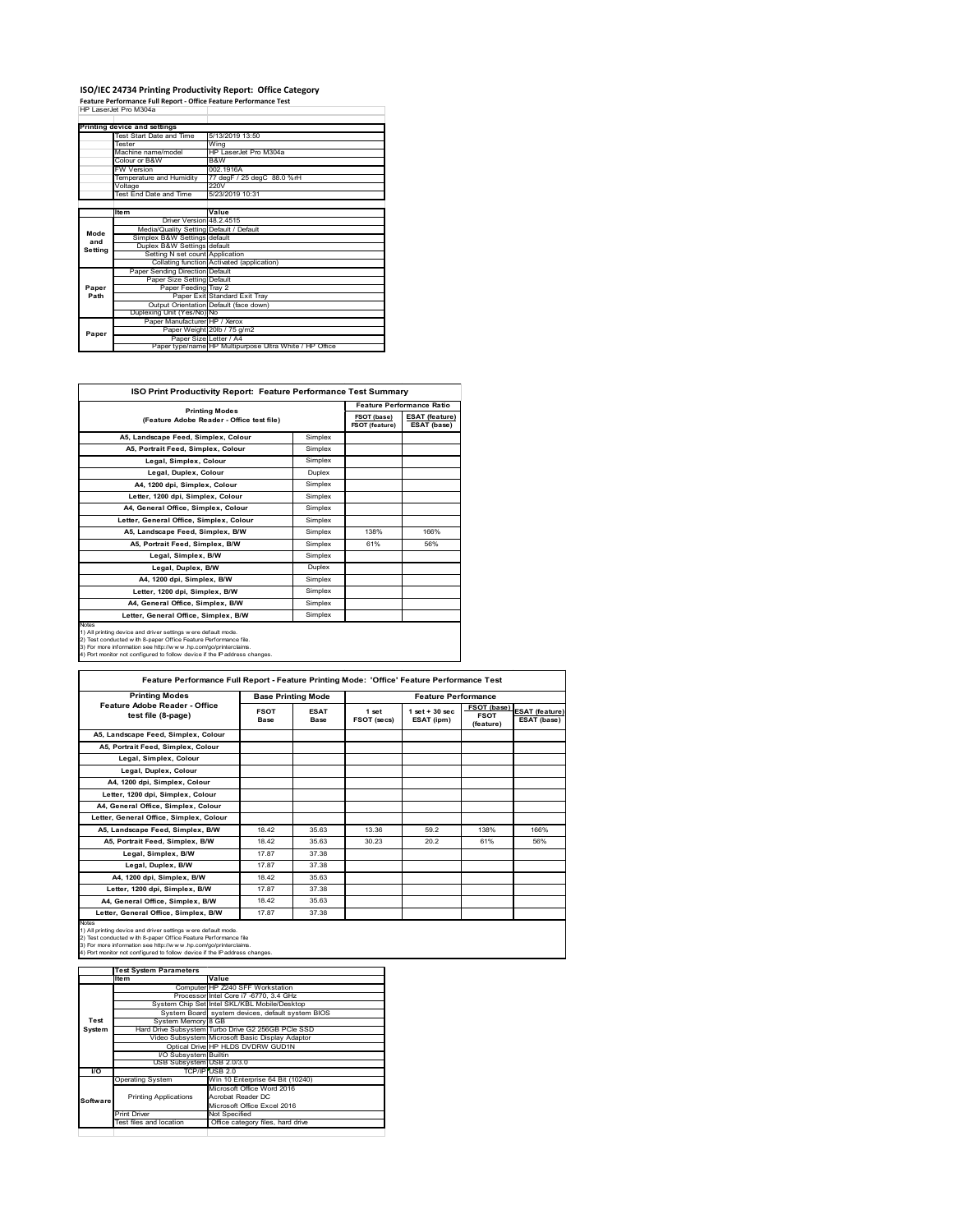## **ISO/IEC 24734 Printing Productivity Report: Office Category Feature Performance Full Report ‐ Office Feature Performance Test** HP LaserJet Pro M304a

|         | Printing device and settings            |                                                         |  |
|---------|-----------------------------------------|---------------------------------------------------------|--|
|         | Test Start Date and Time                | 5/13/2019 13:50                                         |  |
|         | Tester                                  | Wing                                                    |  |
|         | Machine name/model                      | HP LaserJet Pro M304a                                   |  |
|         | Colour or B&W                           | B&W                                                     |  |
|         | <b>FW Version</b>                       | 002.1916A                                               |  |
|         | Temperature and Humidity                | 77 degF / 25 degC 88.0 %rH                              |  |
|         | Voltage                                 | 220V                                                    |  |
|         | Test End Date and Time                  | 5/23/2019 10:31                                         |  |
|         |                                         |                                                         |  |
|         | <b>Item</b>                             | Value                                                   |  |
|         | Driver Version 48.2.4515                |                                                         |  |
| Mode    | Media/Quality Setting Default / Default |                                                         |  |
| and     | Simplex B&W Settings default            |                                                         |  |
| Setting | Duplex B&W Settings default             |                                                         |  |
|         | Setting N set count Application         |                                                         |  |
|         |                                         | Collating function Activated (application)              |  |
|         | Paper Sending Direction Default         |                                                         |  |
|         | Paper Size Setting Default              |                                                         |  |
| Paper   | Paper Feeding Tray 2                    |                                                         |  |
| Path    |                                         | Paper Exit Standard Exit Tray                           |  |
|         |                                         | Output Orientation Default (face down)                  |  |
|         | Duplexing Unit (Yes/No) No              |                                                         |  |
|         | Paper Manufacturer HP / Xerox           |                                                         |  |
| Paper   |                                         | Paper Weight 20lb / 75 g/m2                             |  |
|         | Paper Size Letter / A4                  |                                                         |  |
|         |                                         | Paper type/name HP Multipurpose Ultra White / HP Office |  |

| <b>ISO Print Productivity Report: Feature Performance Test Summary</b>                                                                                                                                                                                                                            |         |                                  |                                      |  |
|---------------------------------------------------------------------------------------------------------------------------------------------------------------------------------------------------------------------------------------------------------------------------------------------------|---------|----------------------------------|--------------------------------------|--|
|                                                                                                                                                                                                                                                                                                   |         | <b>Feature Performance Ratio</b> |                                      |  |
| <b>Printing Modes</b><br>(Feature Adobe Reader - Office test file)                                                                                                                                                                                                                                |         | FSOT (base)<br>FSOT (feature)    | <b>ESAT (feature)</b><br>ESAT (base) |  |
| A5, Landscape Feed, Simplex, Colour                                                                                                                                                                                                                                                               | Simplex |                                  |                                      |  |
| A5. Portrait Feed. Simplex. Colour                                                                                                                                                                                                                                                                | Simplex |                                  |                                      |  |
| Legal, Simplex, Colour                                                                                                                                                                                                                                                                            | Simplex |                                  |                                      |  |
| Legal, Duplex, Colour                                                                                                                                                                                                                                                                             | Duplex  |                                  |                                      |  |
| A4, 1200 dpi, Simplex, Colour                                                                                                                                                                                                                                                                     | Simplex |                                  |                                      |  |
| Letter, 1200 dpi, Simplex, Colour                                                                                                                                                                                                                                                                 | Simplex |                                  |                                      |  |
| A4. General Office. Simplex. Colour                                                                                                                                                                                                                                                               | Simplex |                                  |                                      |  |
| Letter, General Office, Simplex, Colour                                                                                                                                                                                                                                                           | Simplex |                                  |                                      |  |
| A5, Landscape Feed, Simplex, B/W                                                                                                                                                                                                                                                                  | Simplex | 138%                             | 166%                                 |  |
| A5, Portrait Feed, Simplex, B/W                                                                                                                                                                                                                                                                   | Simplex | 61%                              | 56%                                  |  |
| Legal, Simplex, B/W                                                                                                                                                                                                                                                                               | Simplex |                                  |                                      |  |
| Legal, Duplex, B/W                                                                                                                                                                                                                                                                                | Duplex  |                                  |                                      |  |
| A4, 1200 dpi, Simplex, B/W                                                                                                                                                                                                                                                                        | Simplex |                                  |                                      |  |
| Letter, 1200 dpi. Simplex, B/W                                                                                                                                                                                                                                                                    | Simplex |                                  |                                      |  |
| A4, General Office, Simplex, B/W                                                                                                                                                                                                                                                                  | Simplex |                                  |                                      |  |
| Letter, General Office, Simplex, B/W                                                                                                                                                                                                                                                              | Simplex |                                  |                                      |  |
| <b>Notes</b><br>1) All printing device and driver settings were default mode.<br>2) Test conducted with 8-paper Office Feature Performance file.<br>3) For more information see http://www.hp.com/go/printerclaims.<br>4) Port monitor not configured to follow device if the IP address changes. |         |                                  |                                      |  |

| <b>Printing Modes</b>                               | <b>Base Printing Mode</b> |                     |                      | <b>Feature Performance</b>       |                                                |                                      |
|-----------------------------------------------------|---------------------------|---------------------|----------------------|----------------------------------|------------------------------------------------|--------------------------------------|
| Feature Adobe Reader - Office<br>test file (8-page) | <b>FSOT</b><br>Base       | <b>ESAT</b><br>Base | 1 set<br>FSOT (secs) | $1$ set $+30$ sec.<br>ESAT (ipm) | <b>FSOT</b> (base)<br><b>FSOT</b><br>(feature) | <b>ESAT</b> (feature)<br>ESAT (base) |
| A5, Landscape Feed, Simplex, Colour                 |                           |                     |                      |                                  |                                                |                                      |
| A5, Portrait Feed, Simplex, Colour                  |                           |                     |                      |                                  |                                                |                                      |
| Legal, Simplex, Colour                              |                           |                     |                      |                                  |                                                |                                      |
| Legal, Duplex, Colour                               |                           |                     |                      |                                  |                                                |                                      |
| A4, 1200 dpi, Simplex, Colour                       |                           |                     |                      |                                  |                                                |                                      |
| Letter, 1200 dpi, Simplex, Colour                   |                           |                     |                      |                                  |                                                |                                      |
| A4, General Office, Simplex, Colour                 |                           |                     |                      |                                  |                                                |                                      |
| Letter, General Office, Simplex, Colour             |                           |                     |                      |                                  |                                                |                                      |
| A5, Landscape Feed, Simplex, B/W                    | 18.42                     | 35.63               | 13.36                | 59.2                             | 138%                                           | 166%                                 |
| A5. Portrait Feed. Simplex. B/W                     | 1842                      | 35.63               | 30.23                | 20.2                             | 61%                                            | 56%                                  |
| Legal, Simplex, B/W                                 | 17.87                     | 37.38               |                      |                                  |                                                |                                      |
| Legal, Duplex, B/W                                  | 1787                      | 37.38               |                      |                                  |                                                |                                      |
| A4, 1200 dpi, Simplex, B/W                          | 1842                      | 35 63               |                      |                                  |                                                |                                      |
| Letter, 1200 dpi, Simplex, B/W                      | 17.87                     | 37.38               |                      |                                  |                                                |                                      |
| A4, General Office, Simplex, B/W                    | 1842                      | 35.63               |                      |                                  |                                                |                                      |
| Letter, General Office, Simplex, B/W                | 17.87                     | 37.38               |                      |                                  |                                                |                                      |

1) All printing device and driver settings were default mode.<br>2) Test conducted with 8-paper Office Feature Performance file<br>3) For more information see http://www.hp.com/go/printerclaims.<br>4) Port monitor not configured to

|           | <b>Test System Parameters</b> |                                                    |
|-----------|-------------------------------|----------------------------------------------------|
|           | Item                          | Value                                              |
|           |                               | Computer HP Z240 SFF Workstation                   |
|           |                               | Processor Intel Core i7 -6770, 3.4 GHz             |
|           |                               | System Chip Set Intel SKL/KBL Mobile/Desktop       |
|           |                               | System Board system devices, default system BIOS   |
| Test      | System Memory 8 GB            |                                                    |
| System    |                               | Hard Drive Subsystem Turbo Drive G2 256GB PCle SSD |
|           |                               | Video Subsystem Microsoft Basic Display Adaptor    |
|           |                               | Optical Drive HP HLDS DVDRW GUD1N                  |
|           | <b>VO Subsystem Builtin</b>   |                                                    |
|           | USB Subsystem USB 2.0/3.0     |                                                    |
| <b>VO</b> |                               | TCP/IP USB 2.0                                     |
|           | <b>Operating System</b>       | Win 10 Enterprise 64 Bit (10240)                   |
|           |                               | Microsoft Office Word 2016                         |
| Software  | <b>Printing Applications</b>  | Acrobat Reader DC                                  |
|           |                               | Microsoft Office Excel 2016                        |
|           | <b>Print Driver</b>           | Not Specified                                      |
|           | Test files and location       | Office category files, hard drive                  |
|           |                               |                                                    |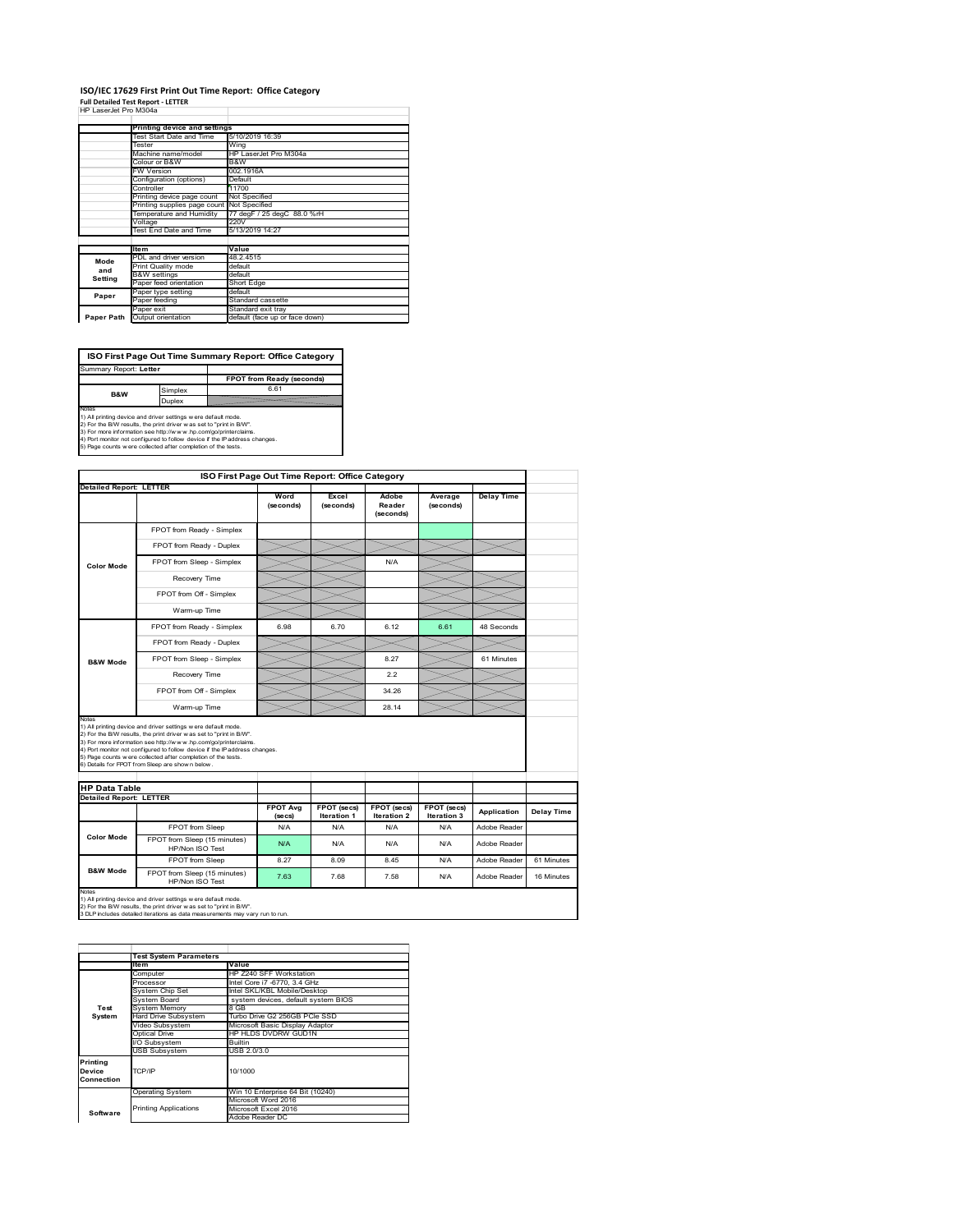### **ISO/IEC 17629 First Print Out Time Report: Office Category Full Detailed Test Report ‐ LETTER** HP LaserJet Pro M304a

| HP LaserJet Pro M304a |  |
|-----------------------|--|

|            | Printing device and settings               |                                    |  |
|------------|--------------------------------------------|------------------------------------|--|
|            | Test Start Date and Time                   | 5/10/2019 16:39                    |  |
|            | Tester                                     | Wing                               |  |
|            | Machine name/model                         | HP LaserJet Pro M304a              |  |
|            | Colour or B&W                              | B&W                                |  |
|            | <b>FW Version</b>                          | 002.1916A                          |  |
|            | Configuration (options)                    | Default                            |  |
|            | Controller                                 | 11700                              |  |
|            | Printing device page count                 | Not Specified                      |  |
|            | Printing supplies page count Not Specified |                                    |  |
|            | Temperature and Humidity                   | 77 degF / 25 degC 88.0 %rH<br>220V |  |
|            | Voltage                                    |                                    |  |
|            | Test End Date and Time                     | 5/13/2019 14:27                    |  |
|            |                                            |                                    |  |
|            | <b>Item</b>                                | Value                              |  |
| Mode       | PDL and driver version                     | 48.2.4515                          |  |
| and        | Print Quality mode                         | default                            |  |
| Setting    | <b>B&amp;W</b> settings                    | default                            |  |
|            | Paper feed orientation                     | Short Edge                         |  |
| Paper      | Paper type setting                         | default                            |  |
|            | Paper feeding                              | Standard cassette                  |  |
|            | Paper exit                                 | Standard exit tray                 |  |
| Paper Path | Output orientation                         | default (face up or face down)     |  |

**ISO First Page Out Time Summary Report: Office Category** rt: Letter

**FPOT from Ready (seconds)**<br>
Simplex 6.61 **B&W**

**Duplex**<br>Notes<br>1) All printing device and driver settings were default mode.<br>2) For the BM results, the print driver was set to "print in BM".<br>4) For more information see http://www.hp.com/golprinterclaims.<br>4) Port monitor

|                                                                 |                                                                                                                                                                                                                                                                                                                                                                                                             |                            | ISO First Page Out Time Report: Office Category |                              |                            |                   |            |
|-----------------------------------------------------------------|-------------------------------------------------------------------------------------------------------------------------------------------------------------------------------------------------------------------------------------------------------------------------------------------------------------------------------------------------------------------------------------------------------------|----------------------------|-------------------------------------------------|------------------------------|----------------------------|-------------------|------------|
| <b>Detailed Report: LETTER</b>                                  |                                                                                                                                                                                                                                                                                                                                                                                                             |                            |                                                 |                              |                            |                   |            |
|                                                                 |                                                                                                                                                                                                                                                                                                                                                                                                             | Word<br>(seconds)          | Excel<br>(seconds)                              | Adobe<br>Reader<br>(seconds) | Average<br>(seconds)       | <b>Delay Time</b> |            |
|                                                                 | FPOT from Ready - Simplex                                                                                                                                                                                                                                                                                                                                                                                   |                            |                                                 |                              |                            |                   |            |
|                                                                 | FPOT from Ready - Duplex                                                                                                                                                                                                                                                                                                                                                                                    |                            |                                                 |                              |                            |                   |            |
| <b>Color Mode</b>                                               | FPOT from Sleep - Simplex                                                                                                                                                                                                                                                                                                                                                                                   |                            |                                                 | N/A                          |                            |                   |            |
|                                                                 | Recovery Time                                                                                                                                                                                                                                                                                                                                                                                               |                            |                                                 |                              |                            |                   |            |
|                                                                 | FPOT from Off - Simplex                                                                                                                                                                                                                                                                                                                                                                                     |                            |                                                 |                              |                            |                   |            |
|                                                                 | Warm-up Time                                                                                                                                                                                                                                                                                                                                                                                                |                            |                                                 |                              |                            |                   |            |
|                                                                 | FPOT from Ready - Simplex                                                                                                                                                                                                                                                                                                                                                                                   | 6.98                       | 6.70                                            | 6.12                         | 6.61                       | 48 Seconds        |            |
|                                                                 | FPOT from Ready - Duplex                                                                                                                                                                                                                                                                                                                                                                                    |                            |                                                 |                              |                            |                   |            |
| <b>B&amp;W Mode</b>                                             | FPOT from Sleep - Simplex                                                                                                                                                                                                                                                                                                                                                                                   |                            |                                                 | 8.27                         |                            | 61 Minutes        |            |
|                                                                 | Recovery Time                                                                                                                                                                                                                                                                                                                                                                                               |                            |                                                 | 2.2                          |                            |                   |            |
|                                                                 | FPOT from Off - Simplex                                                                                                                                                                                                                                                                                                                                                                                     |                            |                                                 | 34 26                        |                            |                   |            |
|                                                                 |                                                                                                                                                                                                                                                                                                                                                                                                             |                            |                                                 |                              |                            |                   |            |
|                                                                 | Warm-up Time                                                                                                                                                                                                                                                                                                                                                                                                |                            |                                                 | 28.14                        |                            |                   |            |
| Notes<br><b>HP Data Table</b><br><b>Detailed Report: LETTER</b> | 1) All printing device and driver settings w ere default mode.<br>2) For the B/W results, the print driver was set to "print in B/W".<br>3) For more information see http://www.hp.com/go/printerclaims.<br>4) Port monitor not configured to follow device if the IP address changes.<br>5) Page counts w ere collected after completion of the tests.<br>6) Details for FPOT from Sleep are show n below. |                            |                                                 |                              |                            |                   |            |
|                                                                 |                                                                                                                                                                                                                                                                                                                                                                                                             | <b>FPOT Avg</b><br>(se cs) | FPOT (secs)<br>Iteration 1                      | FPOT (secs)<br>Iteration 2   | FPOT (secs)<br>Iteration 3 | Application       | Delay Time |
|                                                                 | FPOT from Sleep                                                                                                                                                                                                                                                                                                                                                                                             | N/A                        | N/A                                             | N/A                          | N/A                        | Adobe Reader      |            |
| <b>Color Mode</b>                                               | FPOT from Sleep (15 minutes)<br>HP/Non ISO Test                                                                                                                                                                                                                                                                                                                                                             | N/A                        | N/A                                             | N/A                          | N/A                        | Adobe Reader      |            |
| <b>B&amp;W Mode</b>                                             | FPOT from Sleep                                                                                                                                                                                                                                                                                                                                                                                             | 8.27                       | 8.09                                            | 8.45                         | N/A                        | Adobe Reader      | 61 Minutes |

**Item Value** Computer HP Z240 SFF Workstation Processor Intel Core i7 -6770, 3.4 GHz System Chip Set Intel SKL/KBL Mobile/Desktop System Board system devices, default system BIOS Frocessor<br>System Chip Set<br>System Memory<br>Hard Drive Subsystem<br>Hard Subsystem Hard Drive Subsystem Turbo Drive G2 256GB PCIe SSD Video Subsystem Microsoft Basic Display Adaptor Optical Drive HP HLDS DVDRW GUD1N Subsystem Builtin USB Subsystem USB 2.0/3.0 Operating System Win 10 Enterprise 64 Bit (10240) Microsoft Word 2016 Microsoft Excel 2016 Adobe Reader DC **Printing Device Connection** TCP/IP 10/1000 **Software** Printing Applications **Test System Test System Para**